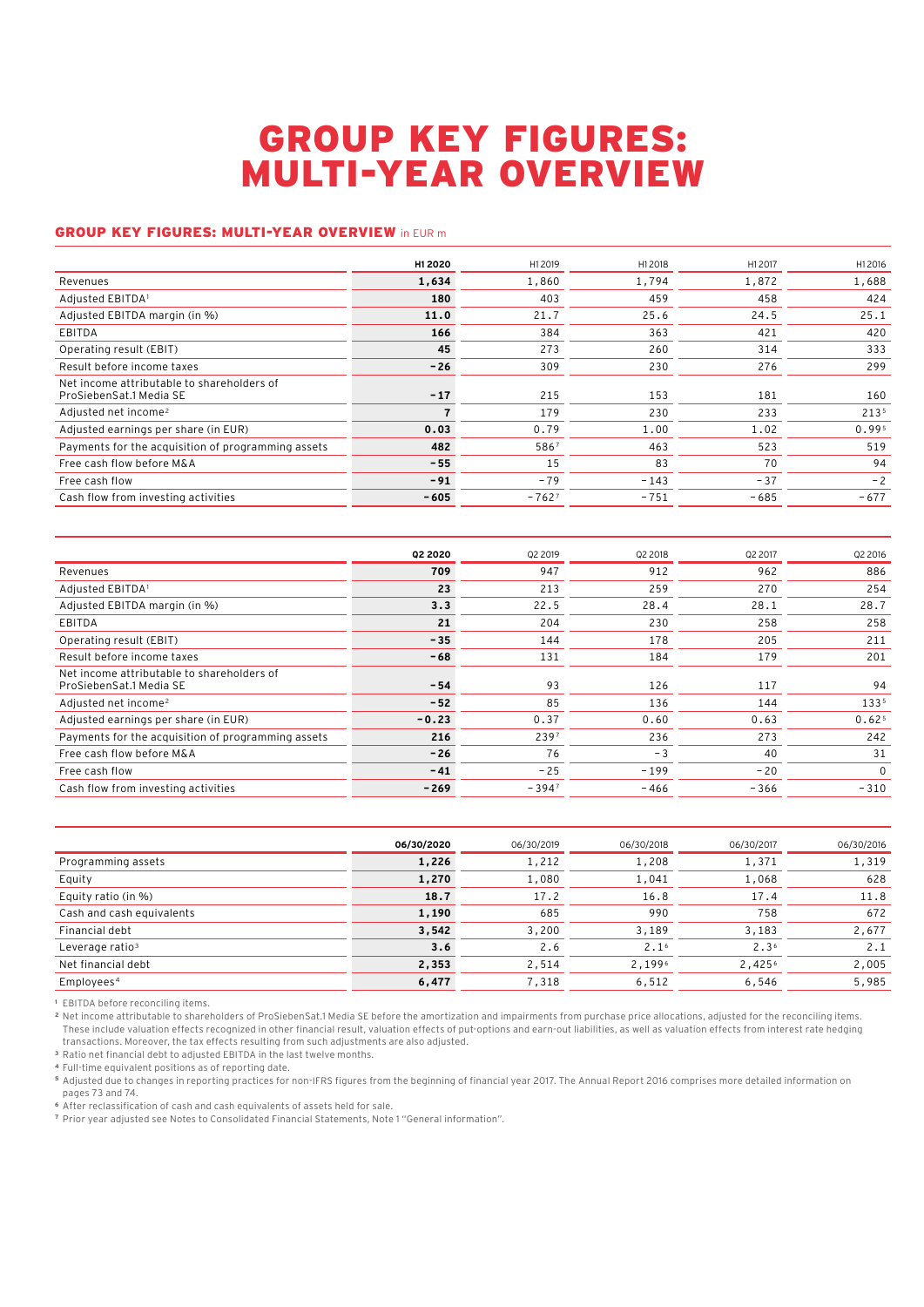## GROUP KEY FIGURES: MULTI-YEAR OVERVIEW

## GROUP KEY FIGURES: MULTI-YEAR OVERVIEW in EUR m

|                                                                       | H1 2020 | H12019  | H12018 | H12017 | H12016 |
|-----------------------------------------------------------------------|---------|---------|--------|--------|--------|
| Revenues                                                              | 1,634   | 1,860   | 1,794  | 1,872  | 1,688  |
| Adjusted EBITDA1                                                      | 180     | 403     | 459    | 458    | 424    |
| Adjusted EBITDA margin (in %)                                         | 11.0    | 21.7    | 25.6   | 24.5   | 25.1   |
| EBITDA                                                                | 166     | 384     | 363    | 421    | 420    |
| Operating result (EBIT)                                               | 45      | 273     | 260    | 314    | 333    |
| Result before income taxes                                            | $-26$   | 309     | 230    | 276    | 299    |
| Net income attributable to shareholders of<br>ProSiebenSat.1 Media SE | $-17$   | 215     | 153    | 181    | 160    |
| Adjusted net income <sup>2</sup>                                      |         | 179     | 230    | 233    | 2135   |
| Adjusted earnings per share (in EUR)                                  | 0.03    | 0.79    | 1.00   | 1.02   | 0.995  |
| Payments for the acquisition of programming assets                    | 482     | 5867    | 463    | 523    | 519    |
| Free cash flow before M&A                                             | $-55$   | 15      | 83     | 70     | 94     |
| Free cash flow                                                        | $-91$   | $-79$   | $-143$ | $-37$  | $-2$   |
| Cash flow from investing activities                                   | $-605$  | $-7627$ | $-751$ | $-685$ | $-677$ |

|                                                                       | 02 2020 | 02 2019 | 02 2018 | <b>Q2 2017</b> | 02 2016           |
|-----------------------------------------------------------------------|---------|---------|---------|----------------|-------------------|
| Revenues                                                              | 709     | 947     | 912     | 962            | 886               |
| Adjusted EBITDA1                                                      | 23      | 213     | 259     | 270            | 254               |
| Adjusted EBITDA margin (in %)                                         | 3.3     | 22.5    | 28.4    | 28.1           | 28.7              |
| EBITDA                                                                | 21      | 204     | 230     | 258            | 258               |
| Operating result (EBIT)                                               | $-35$   | 144     | 178     | 205            | 211               |
| Result before income taxes                                            | $-68$   | 131     | 184     | 179            | 201               |
| Net income attributable to shareholders of<br>ProSiebenSat.1 Media SE | $-54$   | 93      | 126     | 117            | 94                |
| Adjusted net income <sup>2</sup>                                      | $-52$   | 85      | 136     | 144            | 1335              |
| Adjusted earnings per share (in EUR)                                  | $-0.23$ | 0.37    | 0.60    | 0.63           | 0.62 <sup>5</sup> |
| Payments for the acquisition of programming assets                    | 216     | 2397    | 236     | 273            | 242               |
| Free cash flow before M&A                                             | $-26$   | 76      | $-3$    | 40             | 31                |
| Free cash flow                                                        | $-41$   | $-25$   | $-199$  | $-20$          | $\Omega$          |
| Cash flow from investing activities                                   | $-269$  | $-3947$ | $-466$  | $-366$         | $-310$            |
|                                                                       |         |         |         |                |                   |

|                             | 06/30/2020 | 06/30/2019 | 06/30/2018       | 06/30/2017       | 06/30/2016 |
|-----------------------------|------------|------------|------------------|------------------|------------|
| Programming assets          | 1,226      | 1,212      | 1,208            | 1,371            | 1,319      |
| Equity                      | 1,270      | 1,080      | 1,041            | 1,068            | 628        |
| Equity ratio (in %)         | 18.7       | 17.2       | 16.8             | 17.4             | 11.8       |
| Cash and cash equivalents   | 1,190      | 685        | 990              | 758              | 672        |
| Financial debt              | 3,542      | 3,200      | 3,189            | 3,183            | 2,677      |
| Leverage ratio <sup>3</sup> | 3.6        | 2.6        | 2.1 <sup>6</sup> | 2.3 <sup>6</sup> | 2.1        |
| Net financial debt          | 2,353      | 2,514      | 2,1996           | 2,4256           | 2,005      |
| Employees <sup>4</sup>      | 6,477      | 7,318      | 6,512            | 6,546            | 5,985      |

**<sup>1</sup>** EBITDA before reconciling items.

**<sup>2</sup>** Net income attributable to shareholders of ProSiebenSat.1 Media SE before the amortization and impairments from purchase price allocations, adjusted for the reconciling items. These include valuation effects recognized in other financial result, valuation effects of put-options and earn-out liabilities, as well as valuation effects from interest rate hedging transactions. Moreover, the tax effects resulting from such adjustments are also adjusted.

**<sup>3</sup>** Ratio net financial debt to adjusted EBITDA in the last twelve months.

**<sup>4</sup>** Full-time equivalent positions as of reporting date.

**<sup>5</sup>** Adjusted due to changes in reporting practices for non-IFRS figures from the beginning of financial year 2017. The Annual Report 2016 comprises more detailed information on pages 73 and 74.

**<sup>6</sup>** After reclassification of cash and cash equivalents of assets held for sale.

**<sup>7</sup>** Prior year adjusted see Notes to Consolidated Financial Statements, Note 1 "General information".